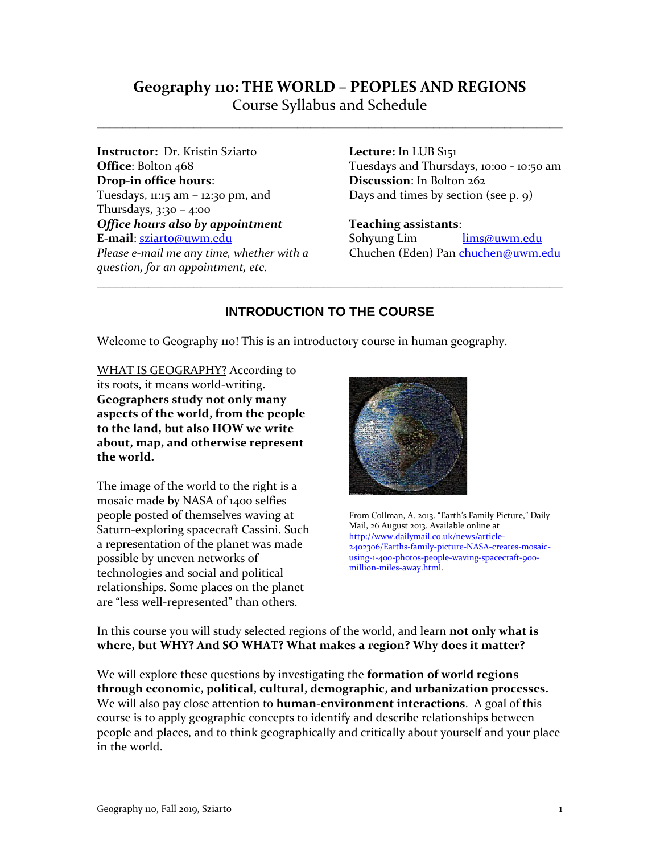# **Geography 110: THE WORLD – PEOPLES AND REGIONS** Course Syllabus and Schedule

**\_\_\_\_\_\_\_\_\_\_\_\_\_\_\_\_\_\_\_\_\_\_\_\_\_\_\_\_\_\_\_\_\_\_\_\_\_\_\_\_\_\_\_\_\_\_\_\_\_\_\_\_\_\_\_\_\_\_\_\_\_\_\_\_\_\_\_\_\_\_\_\_** 

**Instructor:** Dr. Kristin Sziarto **Office**: Bolton 468 **Drop-in office hours**: Tuesdays, 11:15 am – 12:30 pm, and Thursdays, 3:30 – 4:00 *Office hours also by appointment*  **E-mail**: [sziarto@uwm.edu](mailto:sziarto@uwm.edu) *Please e-mail me any time, whether with a question, for an appointment, etc.*

**Lecture:** In LUB S151 Tuesdays and Thursdays, 10:00 - 10:50 am **Discussion**: In Bolton 262 Days and times by section (see p. 9)

**Teaching assistants**:

Sohyung Lim [lims@uwm.edu](mailto:lims@uwm.edu) Chuchen (Eden) Pa[n chuchen@uwm.edu](mailto:chuchen@uwm.edu)

# **INTRODUCTION TO THE COURSE**

\_\_\_\_\_\_\_\_\_\_\_\_\_\_\_\_\_\_\_\_\_\_\_\_\_\_\_\_\_\_\_\_\_\_\_\_\_\_\_\_\_\_\_\_\_\_\_\_\_\_\_\_\_\_\_\_\_\_\_\_\_\_\_\_\_\_\_\_\_\_\_\_

Welcome to Geography 110! This is an introductory course in human geography.

WHAT IS GEOGRAPHY? According to its roots, it means world-writing. **Geographers study not only many aspects of the world, from the people to the land, but also HOW we write about, map, and otherwise represent the world.** 

The image of the world to the right is a mosaic made by NASA of 1400 selfies people posted of themselves waving at Saturn-exploring spacecraft Cassini. Such a representation of the planet was made possible by uneven networks of technologies and social and political relationships. Some places on the planet are "less well-represented" than others.



From Collman, A. 2013. "Earth's Family Picture," Daily Mail, 26 August 2013. Available online at [http://www.dailymail.co.uk/news/article-](http://www.dailymail.co.uk/news/article-2402306/Earths-family-picture-NASA-creates-mosaic-using-1-400-photos-people-waving-spacecraft-900-million-miles-away.html)[2402306/Earths-family-picture-NASA-creates-mosaic](http://www.dailymail.co.uk/news/article-2402306/Earths-family-picture-NASA-creates-mosaic-using-1-400-photos-people-waving-spacecraft-900-million-miles-away.html)[using-1-400-photos-people-waving-spacecraft-900](http://www.dailymail.co.uk/news/article-2402306/Earths-family-picture-NASA-creates-mosaic-using-1-400-photos-people-waving-spacecraft-900-million-miles-away.html) [million-miles-away.html.](http://www.dailymail.co.uk/news/article-2402306/Earths-family-picture-NASA-creates-mosaic-using-1-400-photos-people-waving-spacecraft-900-million-miles-away.html) 

In this course you will study selected regions of the world, and learn **not only what is where, but WHY? And SO WHAT? What makes a region? Why does it matter?**

We will explore these questions by investigating the **formation of world regions through economic, political, cultural, demographic, and urbanization processes.** We will also pay close attention to **human-environment interactions**. A goal of this course is to apply geographic concepts to identify and describe relationships between people and places, and to think geographically and critically about yourself and your place in the world.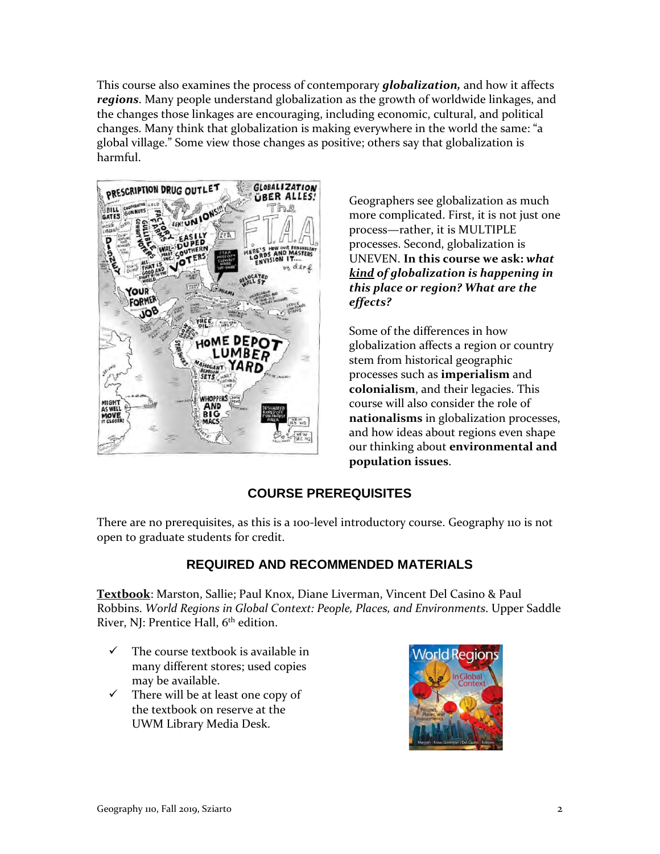This course also examines the process of contemporary *globalization,* and how it affects *regions*. Many people understand globalization as the growth of worldwide linkages, and the changes those linkages are encouraging, including economic, cultural, and political changes. Many think that globalization is making everywhere in the world the same: "a global village." Some view those changes as positive; others say that globalization is harmful.



Geographers see globalization as much more complicated. First, it is not just one process—rather, it is MULTIPLE processes. Second, globalization is UNEVEN. **In this course we ask:** *what kind of globalization is happening in this place or region? What are the effects?* 

Some of the differences in how globalization affects a region or country stem from historical geographic processes such as **imperialism** and **colonialism**, and their legacies. This course will also consider the role of **nationalisms** in globalization processes, and how ideas about regions even shape our thinking about **environmental and population issues**.

## **COURSE PREREQUISITES**

There are no prerequisites, as this is a 100-level introductory course. Geography 110 is not open to graduate students for credit.

## **REQUIRED AND RECOMMENDED MATERIALS**

**Textbook**: Marston, Sallie; Paul Knox, Diane Liverman, Vincent Del Casino & Paul Robbins. *World Regions in Global Context: People, Places, and Environments*. Upper Saddle River, NJ: Prentice Hall, 6<sup>th</sup> edition.

- $\checkmark$  The course textbook is available in many different stores; used copies may be available.
- $\checkmark$  There will be at least one copy of the textbook on reserve at the UWM Library Media Desk.

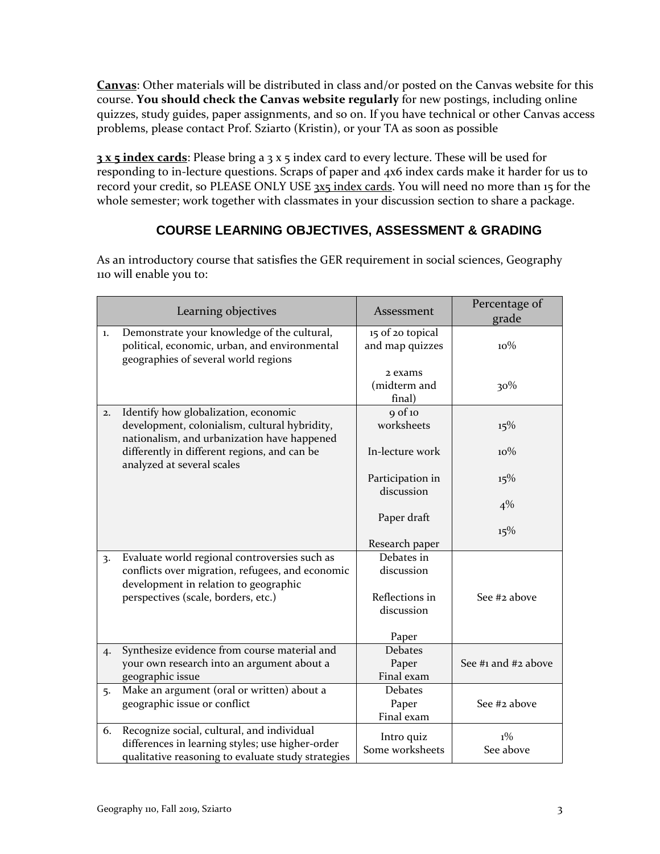**Canvas**: Other materials will be distributed in class and/or posted on the Canvas website for this course. **You should check the Canvas website regularly** for new postings, including online quizzes, study guides, paper assignments, and so on. If you have technical or other Canvas access problems, please contact Prof. Sziarto (Kristin), or your TA as soon as possible

**3 x 5 index cards**: Please bring a 3 x 5 index card to every lecture. These will be used for responding to in-lecture questions. Scraps of paper and 4x6 index cards make it harder for us to record your credit, so PLEASE ONLY USE 3x5 index cards. You will need no more than 15 for the whole semester; work together with classmates in your discussion section to share a package.

## **COURSE LEARNING OBJECTIVES, ASSESSMENT & GRADING**

As an introductory course that satisfies the GER requirement in social sciences, Geography 110 will enable you to:

|                  | Learning objectives                                                                                                                                  | Assessment                            | Percentage of<br>grade |
|------------------|------------------------------------------------------------------------------------------------------------------------------------------------------|---------------------------------------|------------------------|
| 1.               | Demonstrate your knowledge of the cultural,<br>political, economic, urban, and environmental<br>geographies of several world regions                 | 15 of 20 topical<br>and map quizzes   | $10\%$                 |
|                  |                                                                                                                                                      | 2 exams<br>(midterm and<br>final)     | 30%                    |
| 2.               | Identify how globalization, economic<br>development, colonialism, cultural hybridity,<br>nationalism, and urbanization have happened                 | $9$ of 10<br>worksheets               | 15%                    |
|                  | differently in different regions, and can be<br>analyzed at several scales                                                                           | In-lecture work                       | $10\%$                 |
|                  |                                                                                                                                                      | Participation in<br>discussion        | 15%                    |
|                  |                                                                                                                                                      | Paper draft                           | $4\%$                  |
|                  |                                                                                                                                                      | Research paper                        | 15%                    |
| $\overline{3}$ . | Evaluate world regional controversies such as<br>conflicts over migration, refugees, and economic<br>development in relation to geographic           | Debates in<br>discussion              |                        |
|                  | perspectives (scale, borders, etc.)                                                                                                                  | Reflections in<br>discussion          | See #2 above           |
|                  |                                                                                                                                                      | Paper                                 |                        |
| 4.               | Synthesize evidence from course material and<br>your own research into an argument about a<br>geographic issue                                       | <b>Debates</b><br>Paper<br>Final exam | See #1 and #2 above    |
| 5.               | Make an argument (oral or written) about a<br>geographic issue or conflict                                                                           | <b>Debates</b><br>Paper<br>Final exam | See #2 above           |
| 6.               | Recognize social, cultural, and individual<br>differences in learning styles; use higher-order<br>qualitative reasoning to evaluate study strategies | Intro quiz<br>Some worksheets         | $1\%$<br>See above     |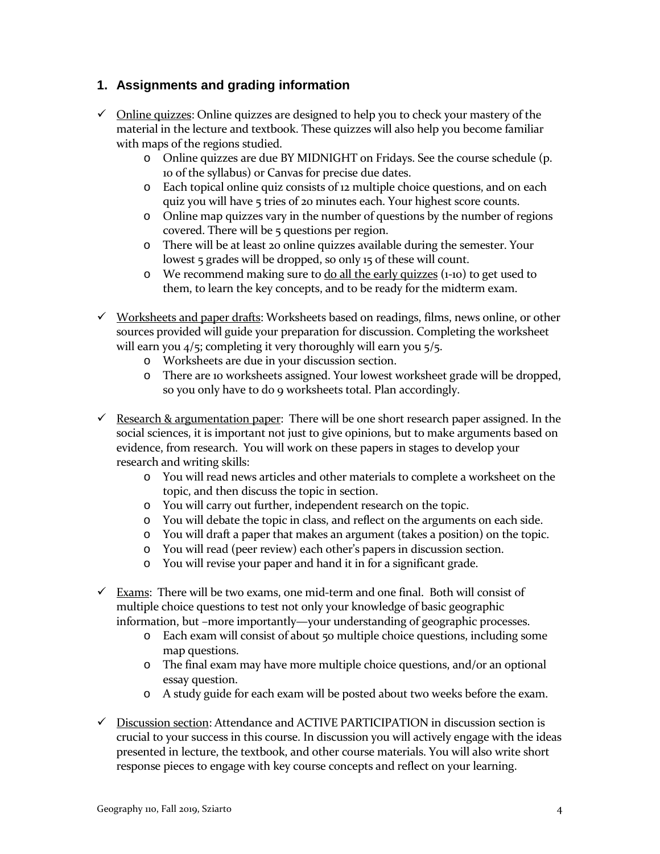## **1. Assignments and grading information**

- $\checkmark$  Online quizzes: Online quizzes are designed to help you to check your mastery of the material in the lecture and textbook. These quizzes will also help you become familiar with maps of the regions studied.
	- o Online quizzes are due BY MIDNIGHT on Fridays. See the course schedule (p. 10 of the syllabus) or Canvas for precise due dates.
	- o Each topical online quiz consists of 12 multiple choice questions, and on each quiz you will have 5 tries of 20 minutes each. Your highest score counts.
	- o Online map quizzes vary in the number of questions by the number of regions covered. There will be 5 questions per region.
	- o There will be at least 20 online quizzes available during the semester. Your lowest 5 grades will be dropped, so only 15 of these will count.
	- $\circ$  We recommend making sure to do all the early quizzes (1-10) to get used to them, to learn the key concepts, and to be ready for the midterm exam.
- $\checkmark$  Worksheets and paper drafts: Worksheets based on readings, films, news online, or other sources provided will guide your preparation for discussion. Completing the worksheet will earn you  $4/5$ ; completing it very thoroughly will earn you  $5/5$ .
	- o Worksheets are due in your discussion section.
	- o There are 10 worksheets assigned. Your lowest worksheet grade will be dropped, so you only have to do 9 worksheets total. Plan accordingly.
- $\checkmark$  Research & argumentation paper: There will be one short research paper assigned. In the social sciences, it is important not just to give opinions, but to make arguments based on evidence, from research. You will work on these papers in stages to develop your research and writing skills:
	- o You will read news articles and other materials to complete a worksheet on the topic, and then discuss the topic in section.
	- o You will carry out further, independent research on the topic.
	- o You will debate the topic in class, and reflect on the arguments on each side.
	- o You will draft a paper that makes an argument (takes a position) on the topic.
	- o You will read (peer review) each other's papers in discussion section.
	- o You will revise your paper and hand it in for a significant grade.
- $\checkmark$  Exams: There will be two exams, one mid-term and one final. Both will consist of multiple choice questions to test not only your knowledge of basic geographic information, but –more importantly—your understanding of geographic processes.
	- o Each exam will consist of about 50 multiple choice questions, including some map questions.
	- o The final exam may have more multiple choice questions, and/or an optional essay question.
	- o A study guide for each exam will be posted about two weeks before the exam.
- $\checkmark$  Discussion section: Attendance and ACTIVE PARTICIPATION in discussion section is crucial to your success in this course. In discussion you will actively engage with the ideas presented in lecture, the textbook, and other course materials. You will also write short response pieces to engage with key course concepts and reflect on your learning.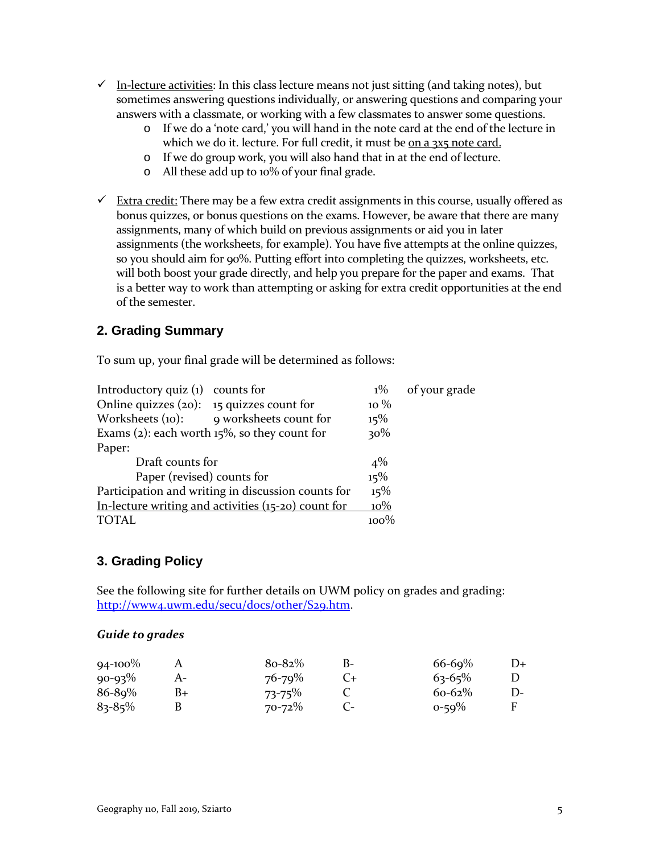- $\checkmark$  In-lecture activities: In this class lecture means not just sitting (and taking notes), but sometimes answering questions individually, or answering questions and comparing your answers with a classmate, or working with a few classmates to answer some questions.
	- o If we do a 'note card,' you will hand in the note card at the end of the lecture in which we do it. lecture. For full credit, it must be on a 3x5 note card.
	- o If we do group work, you will also hand that in at the end of lecture.
	- o All these add up to 10% of your final grade.
- $\checkmark$  Extra credit: There may be a few extra credit assignments in this course, usually offered as bonus quizzes, or bonus questions on the exams. However, be aware that there are many assignments, many of which build on previous assignments or aid you in later assignments (the worksheets, for example). You have five attempts at the online quizzes, so you should aim for 90%. Putting effort into completing the quizzes, worksheets, etc. will both boost your grade directly, and help you prepare for the paper and exams. That is a better way to work than attempting or asking for extra credit opportunities at the end of the semester.

### **2. Grading Summary**

To sum up, your final grade will be determined as follows:

| Introductory quiz $(i)$ counts for                  |                                         | $1\%$  | of your grade |
|-----------------------------------------------------|-----------------------------------------|--------|---------------|
| Online quizzes $(20)$ : 15 quizzes count for        |                                         | $10\%$ |               |
|                                                     | Worksheets (10): 9 worksheets count for | 15%    |               |
| Exams (2): each worth $15\%$ , so they count for    | 30%                                     |        |               |
| Paper:                                              |                                         |        |               |
| Draft counts for                                    |                                         |        |               |
| Paper (revised) counts for                          | 15%                                     |        |               |
| Participation and writing in discussion counts for  |                                         |        |               |
| In-lecture writing and activities (15-20) count for |                                         |        |               |
| TOTAL                                               |                                         | 100%   |               |

#### **3. Grading Policy**

See the following site for further details on UWM policy on grades and grading: [http://www4.uwm.edu/secu/docs/other/S29.htm.](http://www4.uwm.edu/secu/docs/other/S29.htm)

#### *Guide to grades*

| $94 - 100\%$ |    | $8o-82%$    | В- | $66 - 69%$  | $D+$ |
|--------------|----|-------------|----|-------------|------|
| $90 - 93\%$  |    | $76 - 79\%$ |    | $63 - 65%$  |      |
| $86 - 89%$   | B+ | $73 - 75\%$ |    | $60 - 62\%$ | D-   |
| $83 - 85\%$  |    | $70 - 72\%$ |    | $0 - 59\%$  |      |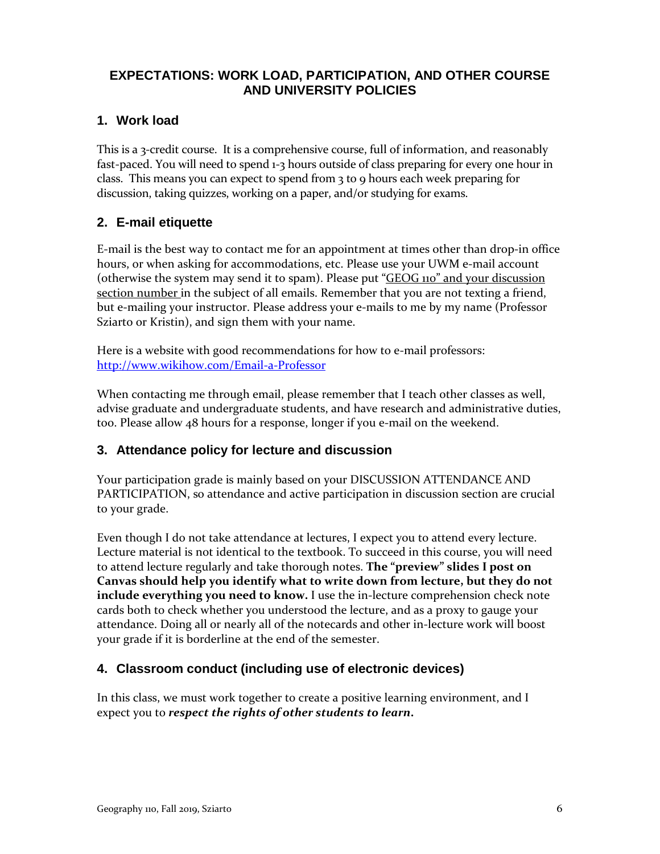## **EXPECTATIONS: WORK LOAD, PARTICIPATION, AND OTHER COURSE AND UNIVERSITY POLICIES**

## **1. Work load**

This is a 3-credit course. It is a comprehensive course, full of information, and reasonably fast-paced. You will need to spend 1-3 hours outside of class preparing for every one hour in class. This means you can expect to spend from 3 to 9 hours each week preparing for discussion, taking quizzes, working on a paper, and/or studying for exams.

## **2. E-mail etiquette**

E-mail is the best way to contact me for an appointment at times other than drop-in office hours, or when asking for accommodations, etc. Please use your UWM e-mail account (otherwise the system may send it to spam). Please put "GEOG 110" and your discussion section number in the subject of all emails. Remember that you are not texting a friend, but e-mailing your instructor. Please address your e-mails to me by my name (Professor Sziarto or Kristin), and sign them with your name.

Here is a website with good recommendations for how to e-mail professors: <http://www.wikihow.com/Email-a-Professor>

When contacting me through email, please remember that I teach other classes as well, advise graduate and undergraduate students, and have research and administrative duties, too. Please allow 48 hours for a response, longer if you e-mail on the weekend.

## **3. Attendance policy for lecture and discussion**

Your participation grade is mainly based on your DISCUSSION ATTENDANCE AND PARTICIPATION, so attendance and active participation in discussion section are crucial to your grade.

Even though I do not take attendance at lectures, I expect you to attend every lecture. Lecture material is not identical to the textbook. To succeed in this course, you will need to attend lecture regularly and take thorough notes. **The "preview" slides I post on Canvas should help you identify what to write down from lecture, but they do not include everything you need to know.** I use the in-lecture comprehension check note cards both to check whether you understood the lecture, and as a proxy to gauge your attendance. Doing all or nearly all of the notecards and other in-lecture work will boost your grade if it is borderline at the end of the semester.

#### **4. Classroom conduct (including use of electronic devices)**

In this class, we must work together to create a positive learning environment, and I expect you to *respect the rights of other students to learn***.**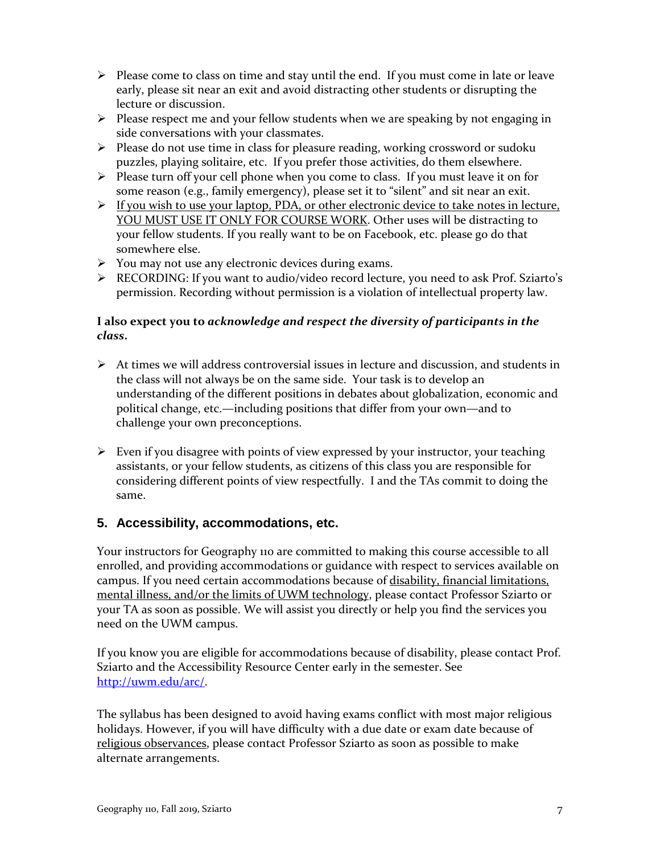- $\triangleright$  Please come to class on time and stay until the end. If you must come in late or leave early, please sit near an exit and avoid distracting other students or disrupting the lecture or discussion.
- $\triangleright$  Please respect me and your fellow students when we are speaking by not engaging in side conversations with your classmates.
- $\triangleright$  Please do not use time in class for pleasure reading, working crossword or sudoku puzzles, playing solitaire, etc. If you prefer those activities, do them elsewhere.
- $\triangleright$  Please turn off your cell phone when you come to class. If you must leave it on for some reason (e.g., family emergency), please set it to "silent" and sit near an exit.
- $\triangleright$  If you wish to use your laptop, PDA, or other electronic device to take notes in lecture, YOU MUST USE IT ONLY FOR COURSE WORK. Other uses will be distracting to your fellow students. If you really want to be on Facebook, etc. please go do that somewhere else.
- $\triangleright$  You may not use any electronic devices during exams.
- RECORDING: If you want to audio/video record lecture, you need to ask Prof. Sziarto's permission. Recording without permission is a violation of intellectual property law.

#### **I also expect you to** *acknowledge and respect the diversity of participants in the class***.**

- $\triangleright$  At times we will address controversial issues in lecture and discussion, and students in the class will not always be on the same side. Your task is to develop an understanding of the different positions in debates about globalization, economic and political change, etc.—including positions that differ from your own—and to challenge your own preconceptions.
- $\triangleright$  Even if you disagree with points of view expressed by your instructor, your teaching assistants, or your fellow students, as citizens of this class you are responsible for considering different points of view respectfully. I and the TAs commit to doing the same.

## **5. Accessibility, accommodations, etc.**

Your instructors for Geography 110 are committed to making this course accessible to all enrolled, and providing accommodations or guidance with respect to services available on campus. If you need certain accommodations because of disability, financial limitations, mental illness, and/or the limits of UWM technology, please contact Professor Sziarto or your TA as soon as possible. We will assist you directly or help you find the services you need on the UWM campus.

If you know you are eligible for accommodations because of disability, please contact Prof. Sziarto and the Accessibility Resource Center early in the semester. See [http://uwm.edu/arc/.](http://uwm.edu/arc/)

The syllabus has been designed to avoid having exams conflict with most major religious holidays. However, if you will have difficulty with a due date or exam date because of religious observances, please contact Professor Sziarto as soon as possible to make alternate arrangements.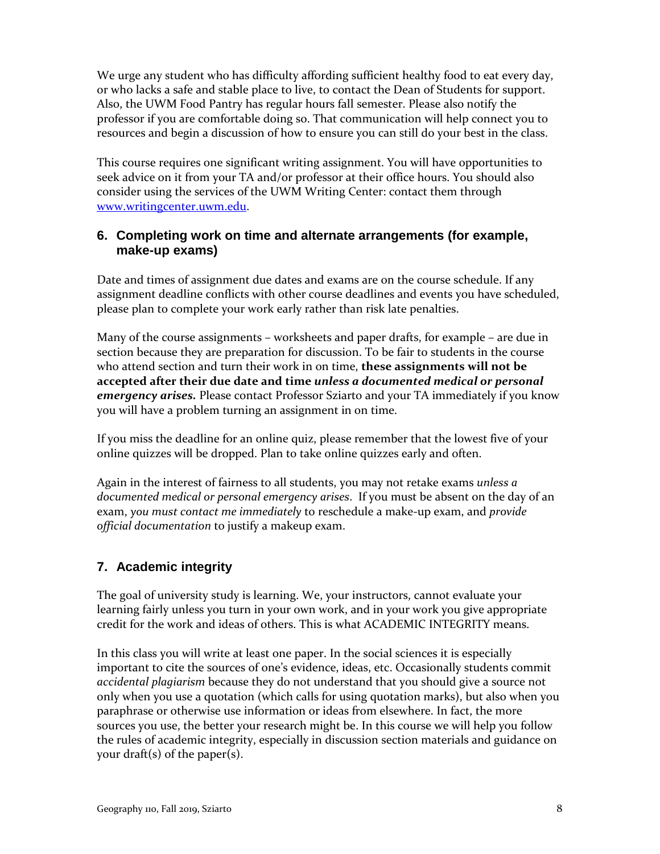We urge any student who has difficulty affording sufficient healthy food to eat every day, or who lacks a safe and stable place to live, to contact the Dean of Students for support. Also, the UWM Food Pantry has regular hours fall semester. Please also notify the professor if you are comfortable doing so. That communication will help connect you to resources and begin a discussion of how to ensure you can still do your best in the class.

This course requires one significant writing assignment. You will have opportunities to seek advice on it from your TA and/or professor at their office hours. You should also consider using the services of the UWM Writing Center: contact them through [www.writingcenter.uwm.edu.](http://www.writingcenter.uwm.edu/)

#### **6. Completing work on time and alternate arrangements (for example, make-up exams)**

Date and times of assignment due dates and exams are on the course schedule. If any assignment deadline conflicts with other course deadlines and events you have scheduled, please plan to complete your work early rather than risk late penalties.

Many of the course assignments – worksheets and paper drafts, for example – are due in section because they are preparation for discussion. To be fair to students in the course who attend section and turn their work in on time, **these assignments will not be accepted after their due date and time** *unless a documented medical or personal emergency arises.* Please contact Professor Sziarto and your TA immediately if you know you will have a problem turning an assignment in on time.

If you miss the deadline for an online quiz, please remember that the lowest five of your online quizzes will be dropped. Plan to take online quizzes early and often.

Again in the interest of fairness to all students, you may not retake exams *unless a documented medical or personal emergency arises*. If you must be absent on the day of an exam, *you must contact me immediately* to reschedule a make-up exam, and *provide official documentation* to justify a makeup exam.

## **7. Academic integrity**

The goal of university study is learning. We, your instructors, cannot evaluate your learning fairly unless you turn in your own work, and in your work you give appropriate credit for the work and ideas of others. This is what ACADEMIC INTEGRITY means.

In this class you will write at least one paper. In the social sciences it is especially important to cite the sources of one's evidence, ideas, etc. Occasionally students commit *accidental plagiarism* because they do not understand that you should give a source not only when you use a quotation (which calls for using quotation marks), but also when you paraphrase or otherwise use information or ideas from elsewhere. In fact, the more sources you use, the better your research might be. In this course we will help you follow the rules of academic integrity, especially in discussion section materials and guidance on your draft(s) of the paper(s).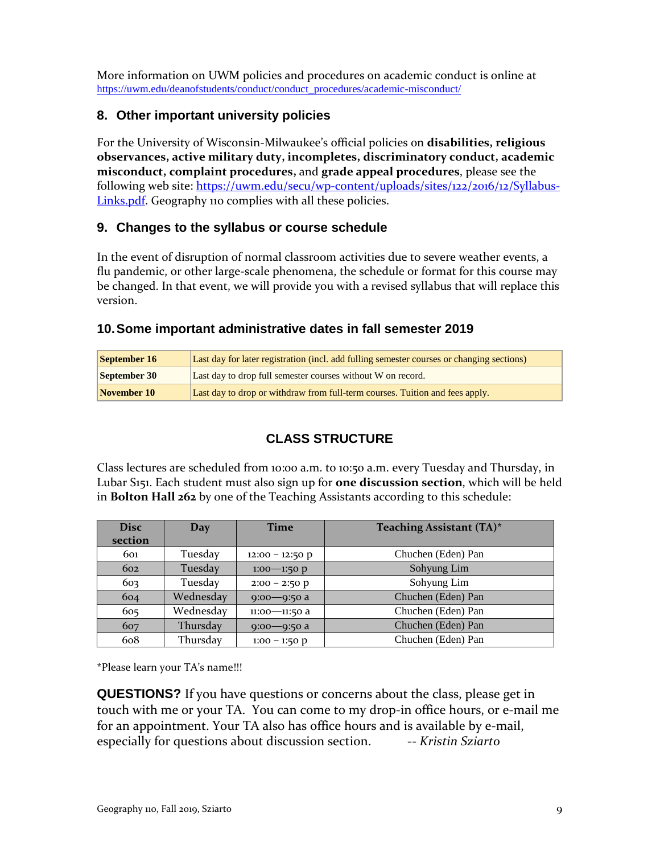More information on UWM policies and procedures on academic conduct is online at [https://uwm.edu/deanofstudents/conduct/conduct\\_procedures/academic-misconduct/](https://uwm.edu/deanofstudents/conduct/conduct_procedures/academic-misconduct/)

### **8. Other important university policies**

For the University of Wisconsin-Milwaukee's official policies on **disabilities, religious observances, active military duty, incompletes, discriminatory conduct, academic misconduct, complaint procedures,** and **grade appeal procedures**, please see the following web site: [https://uwm.edu/secu/wp-content/uploads/sites/122/2016/12/Syllabus-](https://uwm.edu/secu/wp-content/uploads/sites/122/2016/12/Syllabus-Links.pdf)[Links.pdf.](https://uwm.edu/secu/wp-content/uploads/sites/122/2016/12/Syllabus-Links.pdf) Geography 110 complies with all these policies.

#### **9. Changes to the syllabus or course schedule**

In the event of disruption of normal classroom activities due to severe weather events, a flu pandemic, or other large-scale phenomena, the schedule or format for this course may be changed. In that event, we will provide you with a revised syllabus that will replace this version.

### **10.Some important administrative dates in fall semester 2019**

| September 16 | Last day for later registration (incl. add fulling semester courses or changing sections) |
|--------------|-------------------------------------------------------------------------------------------|
| September 30 | Last day to drop full semester courses without W on record.                               |
| November 10  | Last day to drop or withdraw from full-term courses. Tuition and fees apply.              |

# **CLASS STRUCTURE**

Class lectures are scheduled from 10:00 a.m. to 10:50 a.m. every Tuesday and Thursday, in Lubar S151. Each student must also sign up for **one discussion section**, which will be held in **Bolton Hall 262** by one of the Teaching Assistants according to this schedule:

| <b>Disc</b> | Day       | <b>Time</b>       | Teaching Assistant (TA)* |  |
|-------------|-----------|-------------------|--------------------------|--|
| section     |           |                   |                          |  |
| 601         | Tuesday   | $12:00 - 12:50 p$ | Chuchen (Eden) Pan       |  |
| 602         | Tuesday   | $1:00 - 1:50 p$   | Sohyung Lim              |  |
| 603         | Tuesday   | $2:00 - 2:50 p$   | Sohyung Lim              |  |
| 604         | Wednesday | $9:00 - 9:50$ a   | Chuchen (Eden) Pan       |  |
| 605         | Wednesday | 11:00-11:50 a     | Chuchen (Eden) Pan       |  |
| 607         | Thursday  | $9:00 - 9:50$ a   | Chuchen (Eden) Pan       |  |
| 608         | Thursday  | $1:00 - 1:50$ p   | Chuchen (Eden) Pan       |  |

\*Please learn your TA's name!!!

**QUESTIONS?** If you have questions or concerns about the class, please get in touch with me or your TA. You can come to my drop-in office hours, or e-mail me for an appointment. Your TA also has office hours and is available by e-mail, especially for questions about discussion section. -- *Kristin Sziarto*